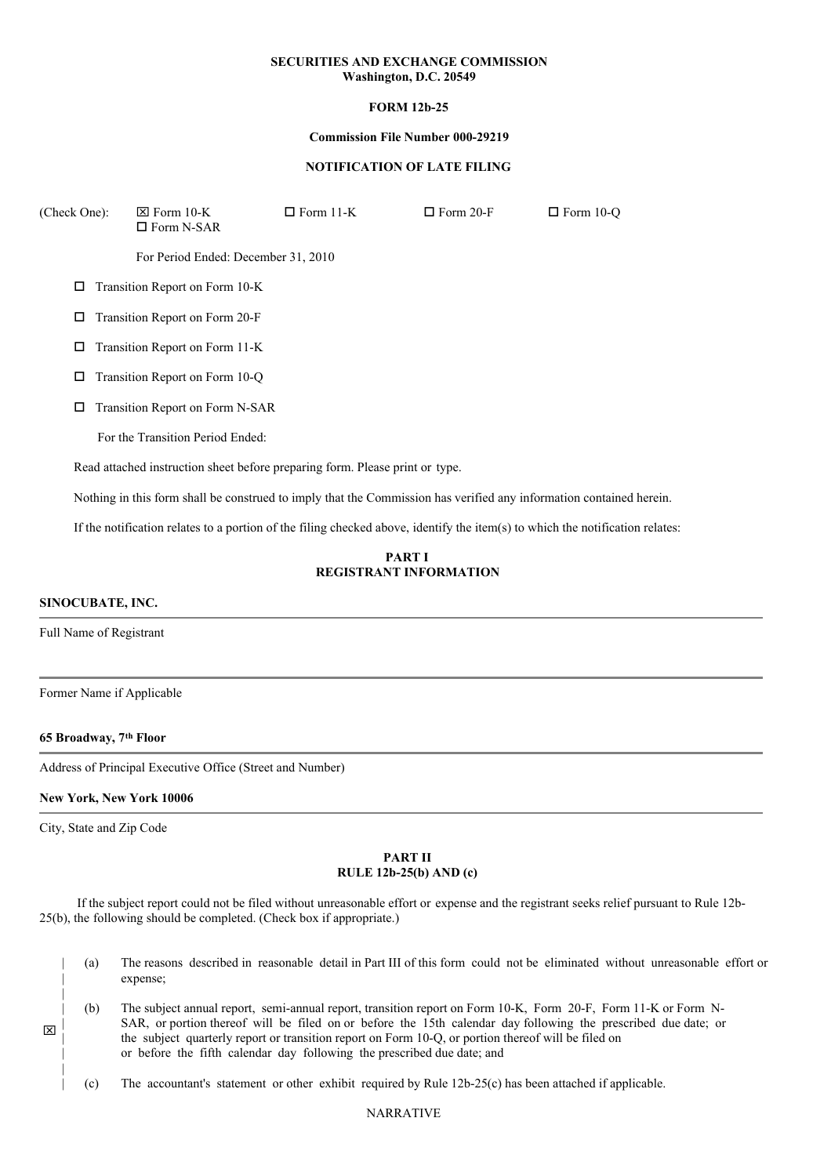### **SECURITIES AND EXCHANGE COMMISSION Washington, D.C. 20549**

# **FORM 12b-25**

#### **Commission File Number 000-29219**

#### **NOTIFICATION OF LATE FILING**

| (Check One):                         | $\boxtimes$ Form 10-K<br>$\square$ Form N-SAR                                                                       | $\Box$ Form 11-K | $\Box$ Form 20-F | $\Box$ Form 10-Q |  |
|--------------------------------------|---------------------------------------------------------------------------------------------------------------------|------------------|------------------|------------------|--|
|                                      | For Period Ended: December 31, 2010                                                                                 |                  |                  |                  |  |
| □                                    | Transition Report on Form 10-K                                                                                      |                  |                  |                  |  |
| Transition Report on Form 20-F<br>□  |                                                                                                                     |                  |                  |                  |  |
| Transition Report on Form 11-K<br>□  |                                                                                                                     |                  |                  |                  |  |
| Transition Report on Form 10-Q<br>□  |                                                                                                                     |                  |                  |                  |  |
| Transition Report on Form N-SAR<br>□ |                                                                                                                     |                  |                  |                  |  |
|                                      | For the Transition Period Ended:                                                                                    |                  |                  |                  |  |
|                                      | Read attached instruction sheet before preparing form. Please print or type.                                        |                  |                  |                  |  |
|                                      | Nothing in this form shall be construed to imply that the Commission has verified any information contained herein. |                  |                  |                  |  |

If the notification relates to a portion of the filing checked above, identify the item(s) to which the notification relates:

## **PART I REGISTRANT INFORMATION**

#### **SINOCUBATE, INC.**

Full Name of Registrant

Former Name if Applicable

**65 Broadway, 7 th Floor**

Address of Principal Executive Office (Street and Number)

#### **New York, New York 10006**

City, State and Zip Code

| |

|

|

x

#### **PART II RULE 12b-25(b) AND (c)**

If the subject report could not be filed without unreasonable effort or expense and the registrant seeks relief pursuant to Rule 12b-25(b), the following should be completed. (Check box if appropriate.)

- (a) The reasons described in reasonable detail in Part III of this form could not be eliminated without unreasonable effort or expense;
- | | | | (b) The subject annual report, semi-annual report, transition report on Form 10-K, Form 20-F, Form 11-K or Form N-SAR, or portion thereof will be filed on or before the 15th calendar day following the prescribed due date; or the subject quarterly report or transition report on Form 10-Q, or portion thereof will be filed on or before the fifth calendar day following the prescribed due date; and
	- | (c) The accountant's statement or other exhibit required by Rule 12b-25(c) has been attached if applicable.

#### NARRATIVE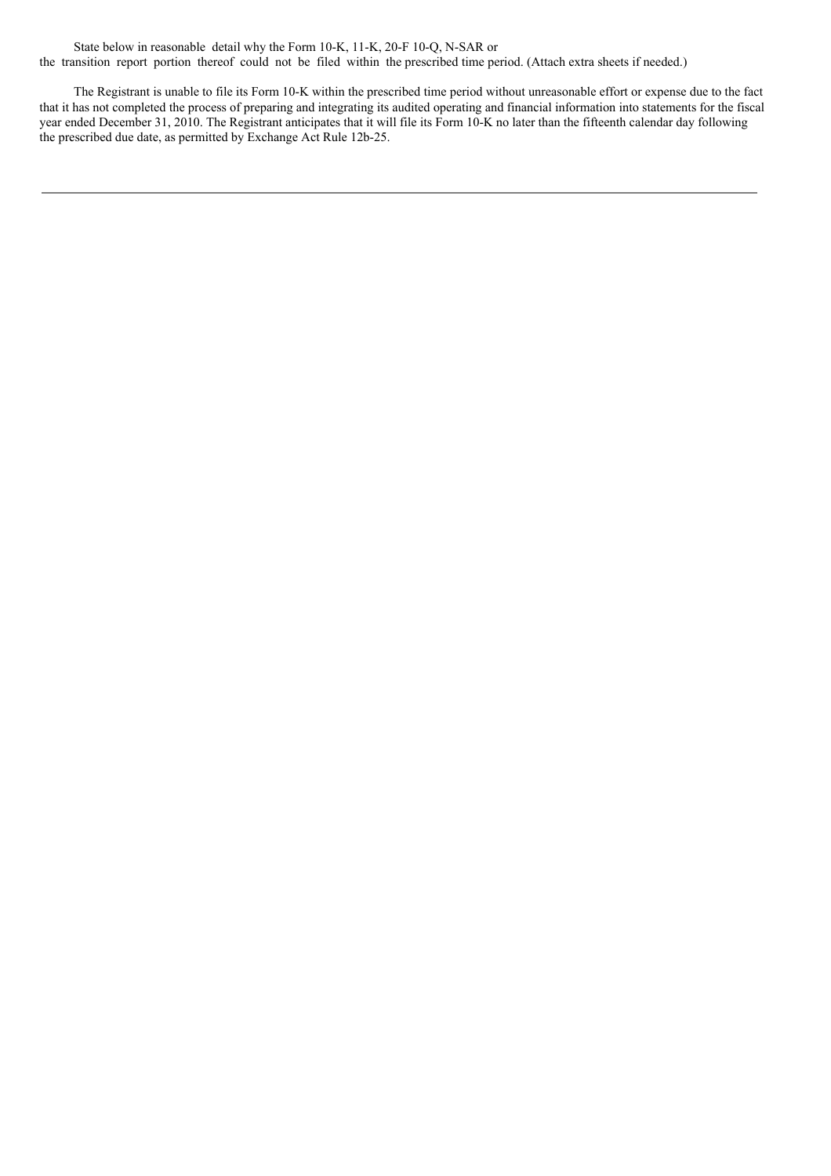State below in reasonable detail why the Form 10-K, 11-K, 20-F 10-Q, N-SAR or the transition report portion thereof could not be filed within the prescribed time period. (Attach extra sheets if needed.)

The Registrant is unable to file its Form 10-K within the prescribed time period without unreasonable effort or expense due to the fact that it has not completed the process of preparing and integrating its audited operating and financial information into statements for the fiscal year ended December 31, 2010. The Registrant anticipates that it will file its Form 10-K no later than the fifteenth calendar day following the prescribed due date, as permitted by Exchange Act Rule 12b-25.